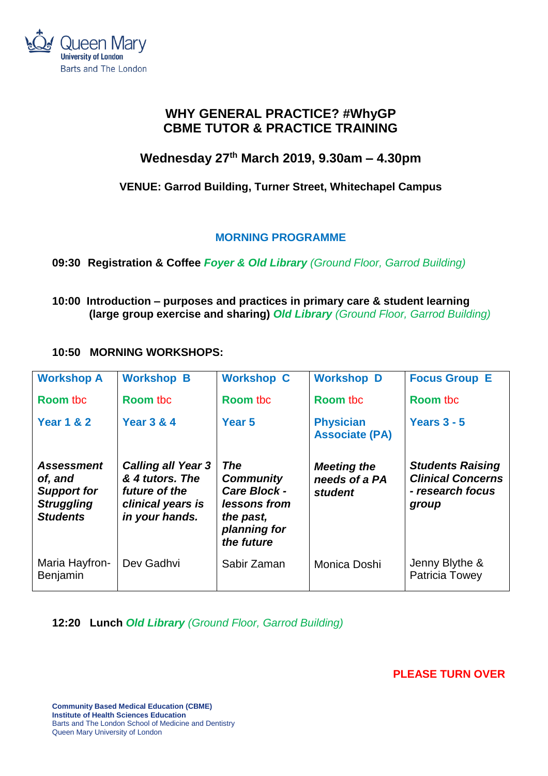

# **WHY GENERAL PRACTICE? #WhyGP CBME TUTOR & PRACTICE TRAINING**

# **Wednesday 27th March 2019, 9.30am – 4.30pm**

## **VENUE: Garrod Building, Turner Street, Whitechapel Campus**

## **MORNING PROGRAMME**

## **09:30 Registration & Coffee** *Foyer & Old Library (Ground Floor, Garrod Building)*

**10:00 Introduction – purposes and practices in primary care & student learning (large group exercise and sharing)** *Old Library (Ground Floor, Garrod Building)* 

## **10:50 MORNING WORKSHOPS:**

| <b>Workshop A</b>                                                                   | <b>Workshop B</b>                                                                                    | <b>Workshop C</b>                                                                                                | <b>Workshop D</b>                              | <b>Focus Group E</b>                                                             |
|-------------------------------------------------------------------------------------|------------------------------------------------------------------------------------------------------|------------------------------------------------------------------------------------------------------------------|------------------------------------------------|----------------------------------------------------------------------------------|
| <b>Room tbc</b>                                                                     | <b>Room tbc</b>                                                                                      | <b>Room tbc</b>                                                                                                  | <b>Room tbc</b>                                | <b>Room tbc</b>                                                                  |
| <b>Year 1 &amp; 2</b>                                                               | <b>Year 3 &amp; 4</b>                                                                                | Year <sub>5</sub>                                                                                                | <b>Physician</b><br><b>Associate (PA)</b>      | Years $3 - 5$                                                                    |
| Assessment<br>of, and<br><b>Support for</b><br><b>Struggling</b><br><b>Students</b> | <b>Calling all Year 3</b><br>& 4 tutors. The<br>future of the<br>clinical years is<br>in your hands. | <b>The</b><br><b>Community</b><br><b>Care Block -</b><br>lessons from<br>the past,<br>planning for<br>the future | <b>Meeting the</b><br>needs of a PA<br>student | <b>Students Raising</b><br><b>Clinical Concerns</b><br>- research focus<br>group |
| Maria Hayfron-<br>Benjamin                                                          | Dev Gadhvi                                                                                           | Sabir Zaman                                                                                                      | Monica Doshi                                   | Jenny Blythe &<br>Patricia Towey                                                 |

**12:20 Lunch** *Old Library (Ground Floor, Garrod Building)*

 **PLEASE TURN OVER**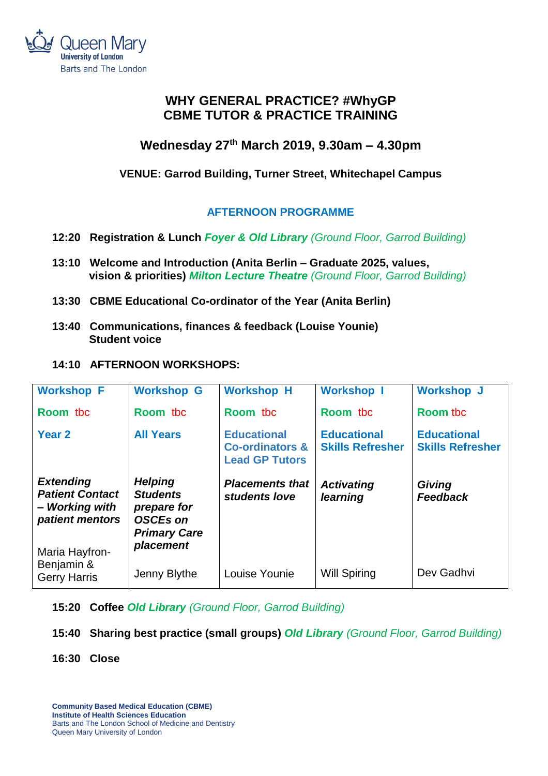

# **WHY GENERAL PRACTICE? #WhyGP CBME TUTOR & PRACTICE TRAINING**

# **Wednesday 27th March 2019, 9.30am – 4.30pm**

## **VENUE: Garrod Building, Turner Street, Whitechapel Campus**

## **AFTERNOON PROGRAMME**

- **12:20 Registration & Lunch** *Foyer & Old Library (Ground Floor, Garrod Building)*
- **13:10 Welcome and Introduction (Anita Berlin – Graduate 2025, values, vision & priorities)** *Milton Lecture Theatre (Ground Floor, Garrod Building)*
- **13:30 CBME Educational Co-ordinator of the Year (Anita Berlin)**
- **13:40 Communications, finances & feedback (Louise Younie) Student voice**

## **14:10 AFTERNOON WORKSHOPS:**

| <b>Workshop F</b>                                           | <b>Workshop G</b>                                                                     | <b>Workshop H</b>                                                         | <b>Workshop I</b>                             | <b>Workshop J</b>                             |
|-------------------------------------------------------------|---------------------------------------------------------------------------------------|---------------------------------------------------------------------------|-----------------------------------------------|-----------------------------------------------|
| Room tbc                                                    | Room tbc                                                                              | Room tbc                                                                  | Room tbc                                      | <b>Room tbc</b>                               |
| Year <sub>2</sub>                                           | <b>All Years</b>                                                                      | <b>Educational</b><br><b>Co-ordinators &amp;</b><br><b>Lead GP Tutors</b> | <b>Educational</b><br><b>Skills Refresher</b> | <b>Educational</b><br><b>Skills Refresher</b> |
| <b>Extending</b>                                            | <b>Helping</b>                                                                        | <b>Placements that</b>                                                    | <b>Activating</b>                             | Giving                                        |
| <b>Patient Contact</b><br>- Working with<br>patient mentors | <b>Students</b><br>prepare for<br><b>OSCEs on</b><br><b>Primary Care</b><br>placement | students love                                                             | learning                                      | <b>Feedback</b>                               |

**15:20 Coffee** *Old Library (Ground Floor, Garrod Building)*

**15:40 Sharing best practice (small groups)** *Old Library (Ground Floor, Garrod Building)* 

**16:30 Close**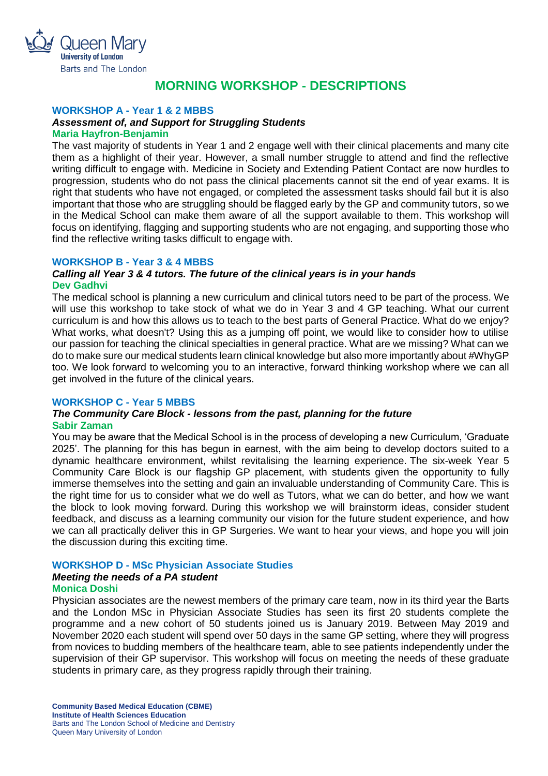

## **MORNING WORKSHOP - DESCRIPTIONS**

## **WORKSHOP A - Year 1 & 2 MBBS**

## *Assessment of, and Support for Struggling Students*

#### **Maria Hayfron-Benjamin**

The vast majority of students in Year 1 and 2 engage well with their clinical placements and many cite them as a highlight of their year. However, a small number struggle to attend and find the reflective writing difficult to engage with. Medicine in Society and Extending Patient Contact are now hurdles to progression, students who do not pass the clinical placements cannot sit the end of year exams. It is right that students who have not engaged, or completed the assessment tasks should fail but it is also important that those who are struggling should be flagged early by the GP and community tutors, so we in the Medical School can make them aware of all the support available to them. This workshop will focus on identifying, flagging and supporting students who are not engaging, and supporting those who find the reflective writing tasks difficult to engage with.

### **WORKSHOP B - Year 3 & 4 MBBS**

### *Calling all Year 3 & 4 tutors. The future of the clinical years is in your hands* **Dev Gadhvi**

The medical school is planning a new curriculum and clinical tutors need to be part of the process. We will use this workshop to take stock of what we do in Year 3 and 4 GP teaching. What our current curriculum is and how this allows us to teach to the best parts of General Practice. What do we enjoy? What works, what doesn't? Using this as a jumping off point, we would like to consider how to utilise our passion for teaching the clinical specialties in general practice. What are we missing? What can we do to make sure our medical students learn clinical knowledge but also more importantly about #WhyGP too. We look forward to welcoming you to an interactive, forward thinking workshop where we can all get involved in the future of the clinical years.

### **WORKSHOP C - Year 5 MBBS**

### *The Community Care Block - lessons from the past, planning for the future* **Sabir Zaman**

You may be aware that the Medical School is in the process of developing a new Curriculum, 'Graduate 2025'. The planning for this has begun in earnest, with the aim being to develop doctors suited to a dynamic healthcare environment, whilst revitalising the learning experience. The six-week Year 5 Community Care Block is our flagship GP placement, with students given the opportunity to fully immerse themselves into the setting and gain an invaluable understanding of Community Care. This is the right time for us to consider what we do well as Tutors, what we can do better, and how we want the block to look moving forward. During this workshop we will brainstorm ideas, consider student feedback, and discuss as a learning community our vision for the future student experience, and how we can all practically deliver this in GP Surgeries. We want to hear your views, and hope you will join the discussion during this exciting time.

## **WORKSHOP D - MSc Physician Associate Studies**

## *Meeting the needs of a PA student*

### **Monica Doshi**

Physician associates are the newest members of the primary care team, now in its third year the Barts and the London MSc in Physician Associate Studies has seen its first 20 students complete the programme and a new cohort of 50 students joined us is January 2019. Between May 2019 and November 2020 each student will spend over 50 days in the same GP setting, where they will progress from novices to budding members of the healthcare team, able to see patients independently under the supervision of their GP supervisor. This workshop will focus on meeting the needs of these graduate students in primary care, as they progress rapidly through their training.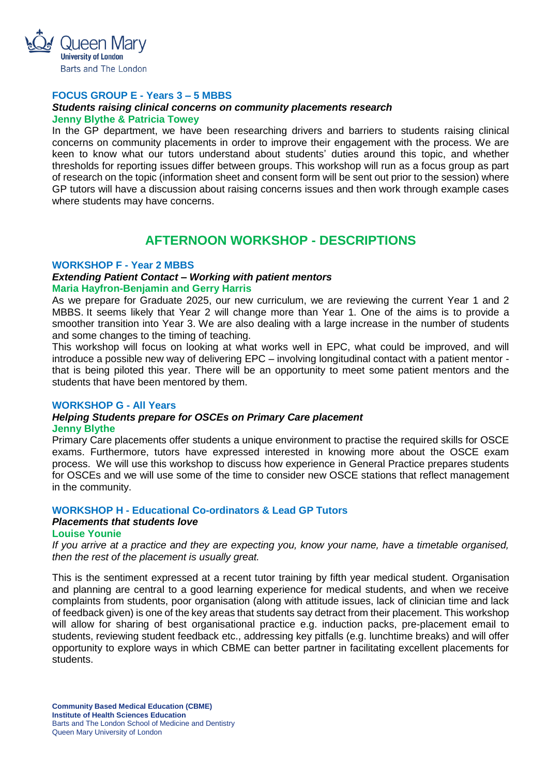

## **FOCUS GROUP E - Years 3 – 5 MBBS**

### *Students raising clinical concerns on community placements research* **Jenny Blythe & Patricia Towey**

In the GP department, we have been researching drivers and barriers to students raising clinical concerns on community placements in order to improve their engagement with the process. We are keen to know what our tutors understand about students' duties around this topic, and whether thresholds for reporting issues differ between groups. This workshop will run as a focus group as part of research on the topic (information sheet and consent form will be sent out prior to the session) where GP tutors will have a discussion about raising concerns issues and then work through example cases where students may have concerns.

## **AFTERNOON WORKSHOP - DESCRIPTIONS**

### **WORKSHOP F - Year 2 MBBS**

### *Extending Patient Contact – Working with patient mentors* **Maria Hayfron-Benjamin and Gerry Harris**

As we prepare for Graduate 2025, our new curriculum, we are reviewing the current Year 1 and 2 MBBS. It seems likely that Year 2 will change more than Year 1. One of the aims is to provide a smoother transition into Year 3. We are also dealing with a large increase in the number of students and some changes to the timing of teaching.

This workshop will focus on looking at what works well in EPC, what could be improved, and will introduce a possible new way of delivering EPC – involving longitudinal contact with a patient mentor that is being piloted this year. There will be an opportunity to meet some patient mentors and the students that have been mentored by them.

### **WORKSHOP G - All Years**

#### *Helping Students prepare for OSCEs on Primary Care placement*  **Jenny Blythe**

Primary Care placements offer students a unique environment to practise the required skills for OSCE exams. Furthermore, tutors have expressed interested in knowing more about the OSCE exam process. We will use this workshop to discuss how experience in General Practice prepares students for OSCEs and we will use some of the time to consider new OSCE stations that reflect management in the community.

## **WORKSHOP H - Educational Co-ordinators & Lead GP Tutors**

## *Placements that students love*

## **Louise Younie**

*If you arrive at a practice and they are expecting you, know your name, have a timetable organised, then the rest of the placement is usually great.*

This is the sentiment expressed at a recent tutor training by fifth year medical student. Organisation and planning are central to a good learning experience for medical students, and when we receive complaints from students, poor organisation (along with attitude issues, lack of clinician time and lack of feedback given) is one of the key areas that students say detract from their placement. This workshop will allow for sharing of best organisational practice e.g. induction packs, pre-placement email to students, reviewing student feedback etc., addressing key pitfalls (e.g. lunchtime breaks) and will offer opportunity to explore ways in which CBME can better partner in facilitating excellent placements for students.